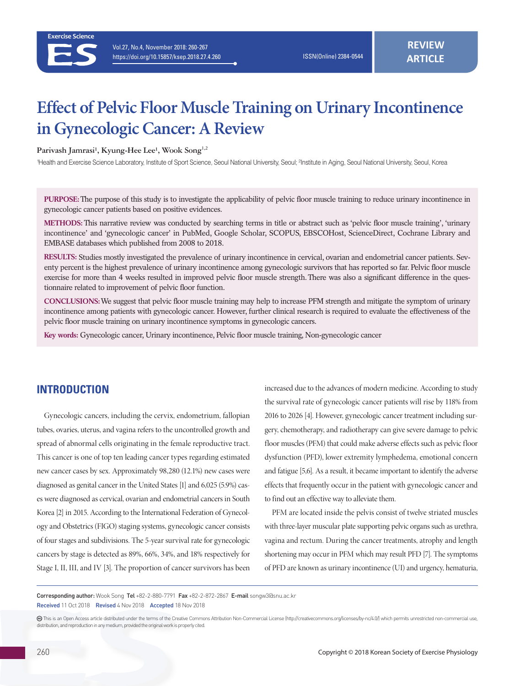# **Effect of Pelvic Floor Muscle Training on Urinary Incontinence in Gynecologic Cancer: A Review**

Parivash Jamrasi<sup>1</sup>, Kyung-Hee Lee<sup>1</sup>, Wook Song<sup>1,2</sup>

<sup>1</sup>Health and Exercise Science Laboratory, Institute of Sport Science, Seoul National University, Seoul; <sup>2</sup>Institute in Aging, Seoul National University, Seoul, Korea

**PURPOSE:** The purpose of this study is to investigate the applicability of pelvic floor muscle training to reduce urinary incontinence in gynecologic cancer patients based on positive evidences.

**METHODS:** This narrative review was conducted by searching terms in title or abstract such as 'pelvic floor muscle training', 'urinary incontinence' and 'gynecologic cancer' in PubMed, Google Scholar, SCOPUS, EBSCOHost, ScienceDirect, Cochrane Library and EMBASE databases which published from 2008 to 2018.

**RESULTS:** Studies mostly investigated the prevalence of urinary incontinence in cervical, ovarian and endometrial cancer patients. Seventy percent is the highest prevalence of urinary incontinence among gynecologic survivors that has reported so far. Pelvic floor muscle exercise for more than 4 weeks resulted in improved pelvic floor muscle strength. There was also a significant difference in the questionnaire related to improvement of pelvic floor function.

**CONCLUSIONS:** We suggest that pelvic floor muscle training may help to increase PFM strength and mitigate the symptom of urinary incontinence among patients with gynecologic cancer. However, further clinical research is required to evaluate the effectiveness of the pelvic floor muscle training on urinary incontinence symptoms in gynecologic cancers.

**Key words:** Gynecologic cancer, Urinary incontinence, Pelvic floor muscle training, Non-gynecologic cancer

# **INTRODUCTION**

Gynecologic cancers, including the cervix, endometrium, fallopian tubes, ovaries, uterus, and vagina refers to the uncontrolled growth and spread of abnormal cells originating in the female reproductive tract. This cancer is one of top ten leading cancer types regarding estimated new cancer cases by sex. Approximately 98,280 (12.1%) new cases were diagnosed as genital cancer in the United States [1] and 6,025 (5.9%) cases were diagnosed as cervical, ovarian and endometrial cancers in South Korea [2] in 2015. According to the International Federation of Gynecology and Obstetrics (FIGO) staging systems, gynecologic cancer consists of four stages and subdivisions. The 5-year survival rate for gynecologic cancers by stage is detected as 89%, 66%, 34%, and 18% respectively for Stage I, II, III, and IV [3]. The proportion of cancer survivors has been

increased due to the advances of modern medicine. According to study the survival rate of gynecologic cancer patients will rise by 118% from 2016 to 2026 [4]. However, gynecologic cancer treatment including surgery, chemotherapy, and radiotherapy can give severe damage to pelvic floor muscles (PFM) that could make adverse effects such as pelvic floor dysfunction (PFD), lower extremity lymphedema, emotional concern and fatigue [5,6]. As a result, it became important to identify the adverse effects that frequently occur in the patient with gynecologic cancer and to find out an effective way to alleviate them.

PFM are located inside the pelvis consist of twelve striated muscles with three-layer muscular plate supporting pelvic organs such as urethra, vagina and rectum. During the cancer treatments, atrophy and length shortening may occur in PFM which may result PFD [7]. The symptoms of PFD are known as urinary incontinence (UI) and urgency, hematuria,

Corresponding author: Wook Song Tel +82-2-880-7791 Fax +82-2-872-2867 E-mail songw3@snu.ac.kr Received 11 Oct 2018 Revised 4 Nov 2018 Accepted 18 Nov 2018

This is an Open Access article distributed under the terms of the Creative Commons Attribution Non-Commercial License (http://creativecommons.org/licenses/by-nc/4.0/) which permits unrestricted non-commercial use, distribution, and reproduction in any medium, provided the original work is properly cited.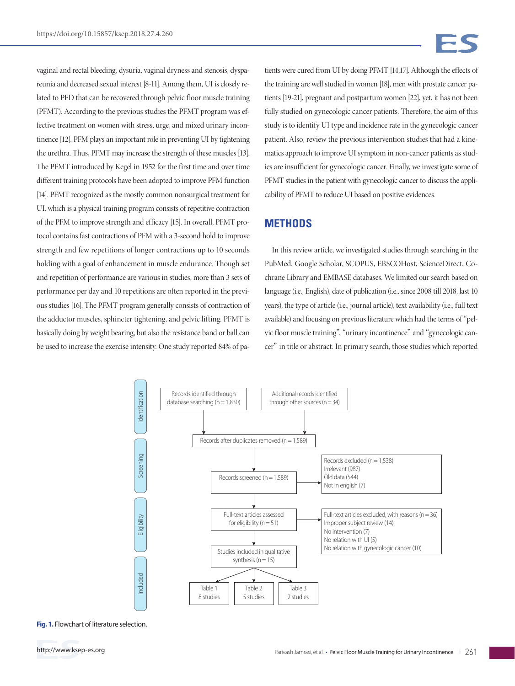vaginal and rectal bleeding, dysuria, vaginal dryness and stenosis, dyspareunia and decreased sexual interest [8-11]. Among them, UI is closely related to PFD that can be recovered through pelvic floor muscle training (PFMT). According to the previous studies the PFMT program was effective treatment on women with stress, urge, and mixed urinary incontinence [12]. PFM plays an important role in preventing UI by tightening the urethra. Thus, PFMT may increase the strength of these muscles [13]. The PFMT introduced by Kegel in 1952 for the first time and over time different training protocols have been adopted to improve PFM function [14]. PFMT recognized as the mostly common nonsurgical treatment for UI, which is a physical training program consists of repetitive contraction of the PFM to improve strength and efficacy [15]. In overall, PFMT protocol contains fast contractions of PFM with a 3-second hold to improve strength and few repetitions of longer contractions up to 10 seconds holding with a goal of enhancement in muscle endurance. Though set and repetition of performance are various in studies, more than 3 sets of performance per day and 10 repetitions are often reported in the previous studies [16]. The PFMT program generally consists of contraction of the adductor muscles, sphincter tightening, and pelvic lifting. PFMT is basically doing by weight bearing, but also the resistance band or ball can be used to increase the exercise intensity. One study reported 84% of patients were cured from UI by doing PFMT [14,17]. Although the effects of the training are well studied in women [18], men with prostate cancer patients [19-21], pregnant and postpartum women [22], yet, it has not been fully studied on gynecologic cancer patients. Therefore, the aim of this study is to identify UI type and incidence rate in the gynecologic cancer patient. Also, review the previous intervention studies that had a kinematics approach to improve UI symptom in non-cancer patients as studies are insufficient for gynecologic cancer. Finally, we investigate some of PFMT studies in the patient with gynecologic cancer to discuss the applicability of PFMT to reduce UI based on positive evidences.

## **METHODS**

In this review article, we investigated studies through searching in the PubMed, Google Scholar, SCOPUS, EBSCOHost, ScienceDirect, Cochrane Library and EMBASE databases. We limited our search based on language (i.e., English), date of publication (i.e., since 2008 till 2018, last 10 years), the type of article (i.e., journal article), text availability (i.e., full text available) and focusing on previous literature which had the terms of "pelvic floor muscle training", "urinary incontinence" and "gynecologic cancer" in title or abstract. In primary search, those studies which reported



**Fig. 1.** Flowchart of literature selection.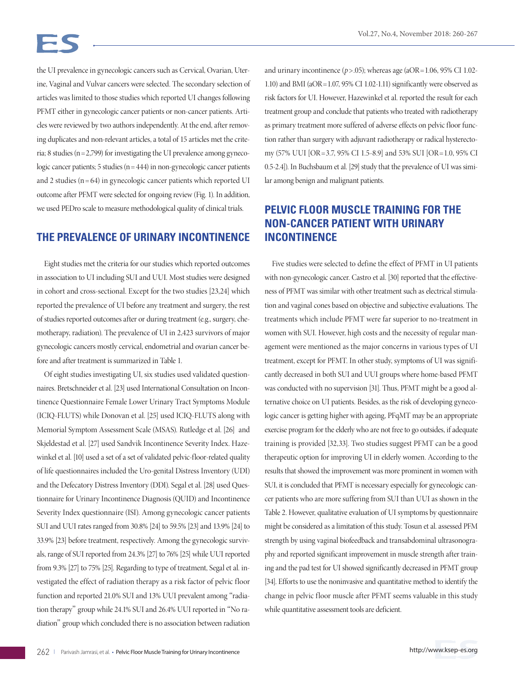the UI prevalence in gynecologic cancers such as Cervical, Ovarian, Uterine, Vaginal and Vulvar cancers were selected. The secondary selection of articles was limited to those studies which reported UI changes following PFMT either in gynecologic cancer patients or non-cancer patients. Articles were reviewed by two authors independently. At the end, after removing duplicates and non-relevant articles, a total of 15 articles met the criteria; 8 studies ( $n = 2,799$ ) for investigating the UI prevalence among gynecologic cancer patients; 5 studies ( $n = 444$ ) in non-gynecologic cancer patients and 2 studies  $(n = 64)$  in gynecologic cancer patients which reported UI outcome after PFMT were selected for ongoing review (Fig. 1). In addition, we used PEDro scale to measure methodological quality of clinical trials.

## **THE PREVALENCE OF URINARY INCONTINENCE**

Eight studies met the criteria for our studies which reported outcomes in association to UI including SUI and UUI. Most studies were designed in cohort and cross-sectional. Except for the two studies [23,24] which reported the prevalence of UI before any treatment and surgery, the rest of studies reported outcomes after or during treatment (e.g., surgery, chemotherapy, radiation). The prevalence of UI in 2,423 survivors of major gynecologic cancers mostly cervical, endometrial and ovarian cancer before and after treatment is summarized in Table 1.

Of eight studies investigating UI, six studies used validated questionnaires. Bretschneider et al. [23] used International Consultation on Incontinence Questionnaire Female Lower Urinary Tract Symptoms Module (ICIQ-FLUTS) while Donovan et al. [25] used ICIQ-FLUTS along with Memorial Symptom Assessment Scale (MSAS). Rutledge et al. [26] and Skjeldestad et al. [27] used Sandvik Incontinence Severity Index. Hazewinkel et al. [10] used a set of a set of validated pelvic-floor-related quality of life questionnaires included the Uro-genital Distress Inventory (UDI) and the Defecatory Distress Inventory (DDI). Segal et al. [28] used Questionnaire for Urinary Incontinence Diagnosis (QUID) and Incontinence Severity Index questionnaire (ISI). Among gynecologic cancer patients SUI and UUI rates ranged from 30.8% [24] to 59.5% [23] and 13.9% [24] to 33.9% [23] before treatment, respectively. Among the gynecologic survivals, range of SUI reported from 24.3% [27] to 76% [25] while UUI reported from 9.3% [27] to 75% [25]. Regarding to type of treatment, Segal et al. investigated the effect of radiation therapy as a risk factor of pelvic floor function and reported 21.0% SUI and 13% UUI prevalent among "radiation therapy" group while 24.1% SUI and 26.4% UUI reported in "No radiation" group which concluded there is no association between radiation

and urinary incontinence ( $p$ >.05); whereas age (aOR = 1.06, 95% CI 1.02-1.10) and BMI (aOR=1.07, 95% CI 1.02-1.11) significantly were observed as risk factors for UI. However, Hazewinkel et al. reported the result for each treatment group and conclude that patients who treated with radiotherapy as primary treatment more suffered of adverse effects on pelvic floor function rather than surgery with adjuvant radiotherapy or radical hysterectomy (57% UUI [OR =3.7, 95% CI 1.5-8.9] and 53% SUI [OR =1.0, 95% CI 0.5-2.4]). In Buchsbaum et al. [29] study that the prevalence of UI was similar among benign and malignant patients.

# **PELVIC FLOOR MUSCLE TRAINING FOR THE NON-CANCER PATIENT WITH URINARY INCONTINENCE**

Five studies were selected to define the effect of PFMT in UI patients with non-gynecologic cancer. Castro et al. [30] reported that the effectiveness of PFMT was similar with other treatment such as electrical stimulation and vaginal cones based on objective and subjective evaluations. The treatments which include PFMT were far superior to no-treatment in women with SUI. However, high costs and the necessity of regular management were mentioned as the major concerns in various types of UI treatment, except for PFMT. In other study, symptoms of UI was significantly decreased in both SUI and UUI groups where home-based PFMT was conducted with no supervision [31]. Thus, PFMT might be a good alternative choice on UI patients. Besides, as the risk of developing gynecologic cancer is getting higher with ageing, PFqMT may be an appropriate exercise program for the elderly who are not free to go outsides, if adequate training is provided [32,33]. Two studies suggest PFMT can be a good therapeutic option for improving UI in elderly women. According to the results that showed the improvement was more prominent in women with SUI, it is concluded that PFMT is necessary especially for gynecologic cancer patients who are more suffering from SUI than UUI as shown in the Table 2. However, qualitative evaluation of UI symptoms by questionnaire might be considered as a limitation of this study. Tosun et al. assessed PFM strength by using vaginal biofeedback and transabdominal ultrasonography and reported significant improvement in muscle strength after training and the pad test for UI showed significantly decreased in PFMT group [34]. Efforts to use the noninvasive and quantitative method to identify the change in pelvic floor muscle after PFMT seems valuable in this study while quantitative assessment tools are deficient.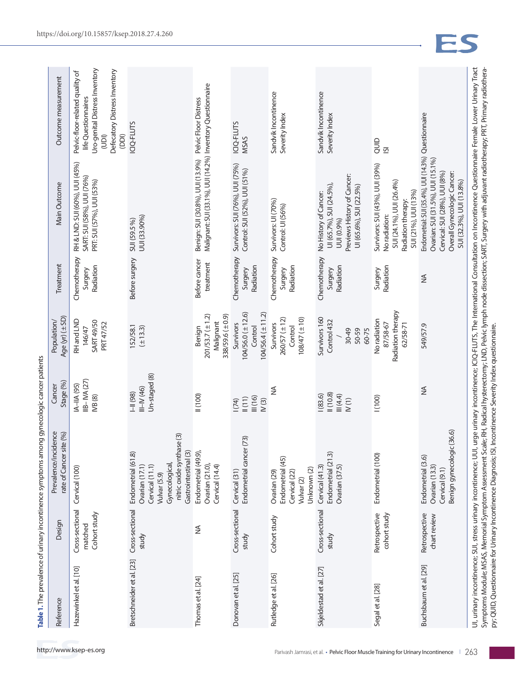| ١                                                                                                               |
|-----------------------------------------------------------------------------------------------------------------|
|                                                                                                                 |
|                                                                                                                 |
|                                                                                                                 |
|                                                                                                                 |
|                                                                                                                 |
|                                                                                                                 |
|                                                                                                                 |
|                                                                                                                 |
| ה<br>ה                                                                                                          |
|                                                                                                                 |
|                                                                                                                 |
|                                                                                                                 |
|                                                                                                                 |
|                                                                                                                 |
|                                                                                                                 |
|                                                                                                                 |
|                                                                                                                 |
|                                                                                                                 |
|                                                                                                                 |
|                                                                                                                 |
|                                                                                                                 |
|                                                                                                                 |
|                                                                                                                 |
|                                                                                                                 |
|                                                                                                                 |
|                                                                                                                 |
|                                                                                                                 |
|                                                                                                                 |
|                                                                                                                 |
|                                                                                                                 |
|                                                                                                                 |
|                                                                                                                 |
|                                                                                                                 |
|                                                                                                                 |
|                                                                                                                 |
|                                                                                                                 |
|                                                                                                                 |
|                                                                                                                 |
|                                                                                                                 |
|                                                                                                                 |
|                                                                                                                 |
|                                                                                                                 |
|                                                                                                                 |
|                                                                                                                 |
|                                                                                                                 |
|                                                                                                                 |
|                                                                                                                 |
|                                                                                                                 |
|                                                                                                                 |
|                                                                                                                 |
|                                                                                                                 |
|                                                                                                                 |
|                                                                                                                 |
|                                                                                                                 |
|                                                                                                                 |
|                                                                                                                 |
|                                                                                                                 |
|                                                                                                                 |
|                                                                                                                 |
|                                                                                                                 |
|                                                                                                                 |
| ご ミラフリン ランド マンクリン                                                                                               |
|                                                                                                                 |
|                                                                                                                 |
|                                                                                                                 |
|                                                                                                                 |
|                                                                                                                 |
|                                                                                                                 |
|                                                                                                                 |
|                                                                                                                 |
|                                                                                                                 |
|                                                                                                                 |
|                                                                                                                 |
|                                                                                                                 |
|                                                                                                                 |
|                                                                                                                 |
| + האנח המינה המינה המינה היה המינה המינה המינה המינה המינה המינה המינה המינה המינה המינה המינה המינה המינה המינ |
| Ī                                                                                                               |
|                                                                                                                 |
|                                                                                                                 |
|                                                                                                                 |
|                                                                                                                 |
|                                                                                                                 |
|                                                                                                                 |
|                                                                                                                 |
| ļ<br>l                                                                                                          |

| Reference                                                   | Design                                     | Prevalence/incidence<br>rate of Cancer site (%)                                                                                                           | Stage (%)<br>Cancer                             | Age (yr) (±SD)<br>Population/                                          | Treatment                            | Main Outcome                                                                                                                                                                                                                                                                                                                                                                                 | Outcome measurement                                                                                                                                 |
|-------------------------------------------------------------|--------------------------------------------|-----------------------------------------------------------------------------------------------------------------------------------------------------------|-------------------------------------------------|------------------------------------------------------------------------|--------------------------------------|----------------------------------------------------------------------------------------------------------------------------------------------------------------------------------------------------------------------------------------------------------------------------------------------------------------------------------------------------------------------------------------------|-----------------------------------------------------------------------------------------------------------------------------------------------------|
| Hazewinkel et al. [10]                                      | Cross-sectional<br>Cohort study<br>matched | Cervical (100)                                                                                                                                            | IIB-IVA (27)<br>IA-IIA (95)<br><b>IVB (8)</b>   | RH and LND<br><b>SART 49/50</b><br>PRT 47/52<br>146/47                 | Chemotherapy<br>Radiation<br>Surgery | RH & LND: SUI (60%), UUI (45%)<br>SART: SUI (58%), UUI (76%)<br>PRT: SUI (57%), UUI (53%)                                                                                                                                                                                                                                                                                                    | Uro-genital Distress Inventory<br>Defecatory Distress Inventory<br>Pelvic-floor-related quality of<br>life Questionnaires<br>$\overline{5}$<br>(DD) |
| Bretschneider et al. [23]                                   | Cross-sectional<br>study                   | nitric oxide synthase (3)<br>Gastrointestinal (3)<br>Endometrial (61.8)<br>Gynecological,<br>Cervical (11.1)<br>Ovarian (17.1)<br>Vulvar <sub>(5.9)</sub> | Un-staged (8)<br>$III - IV (46)$<br>H(98)       | 152/58.1<br>$(\pm 13.3)$                                               | Before surgery                       | UUI (33.90%)<br>SUI (59.5 %)                                                                                                                                                                                                                                                                                                                                                                 | ICIQ-FLUTS                                                                                                                                          |
| Thomas et al. [24]                                          | ≸                                          | Endometrial (49.9),<br>Ovarian (21.0),<br>Cervical (14.4)                                                                                                 | 1000                                            | $201/53.7 (\pm 1.2)$<br>338/59.6 (±0.9)<br>Malignant<br>Benign         | Before cancer<br>treatment           | Malignant: SUI (33.1%), UUI (14.2%) Inventory Questionnaire<br>Benign: SUI (30.8%), UUI (13.9%) Pelvic Floor Distress                                                                                                                                                                                                                                                                        |                                                                                                                                                     |
| Donovan et al. [25]                                         | Cross-sectional<br>study                   | Endometrial cancer (73)<br>Cervical (31)                                                                                                                  | III(16)<br>$\parallel$ $(11)$<br>1(74)<br>N(3)  | $104/56.0 (\pm 12.6)$<br>$104/56.4 (\pm 11.2)$<br>Survivors<br>Control | Chemotherapy<br>Radiation<br>Surgery | Survivors: SUI (76%), UUI (75%)<br>Control: SUI (52%), UUI (51%)                                                                                                                                                                                                                                                                                                                             | ICIQ-FLUTS<br><b>MSAS</b>                                                                                                                           |
| Rutledge et al. [26]                                        | Cohort study                               | Endometrial (45)<br>Unknown (2)<br>Ovarian <sub>(29)</sub><br>Cervical (22)<br>Vulvar <sub>(2)</sub>                                                      | ≨                                               | $108/47 (\pm 10)$<br>260/57 (±12)<br>Survivors<br>Control              | Chemotherapy<br>Radiation<br>Surgery | Survivors: UI (70%)<br>Control: UI (56%)                                                                                                                                                                                                                                                                                                                                                     | Sandvik Incontinence<br>Severity Index                                                                                                              |
| Skjeldestad et al. [27]                                     | Cross-sectional<br>study                   | Endometrial (21.3)<br>Cervical (41.3)<br>Ovarian (37.5)                                                                                                   | 1(10.8)<br>(83.6)<br>III(4.4)<br>N(1)           | Survivors 160<br>Control 432<br>50-59<br>60-75<br>30-49                | Chemotherapy<br>Radiation<br>Surgery | Previews History of Cancer:<br>UI (65.7%), SUI (24.5%),<br>UI (65.6%), SUI (22.5%)<br>No History of Cancer:<br>UUI (0.9%)                                                                                                                                                                                                                                                                    | Sandvik Incontinence<br>Severity Index                                                                                                              |
| Segal et al. [28]                                           | Retrospective<br>cohort study              | Endometrial (100)                                                                                                                                         | (100)                                           | Radiation therapy<br>No radiation<br>62/58-71<br>87/58-67              | Radiation<br>Surgery                 | Survivors: SUI (43%), UUI (39%)<br>SUI (24.1%), UUI (26.4%)<br>SUI (21%), UUI (13%)<br>Radiation therapy:<br>No radiation:                                                                                                                                                                                                                                                                   | QUID<br>$\overline{S}$                                                                                                                              |
| Buchsbaum et al. [29]                                       | Retrospective<br>chart review              | Benign gynecologic (36.6)<br>Endometrial (3.6)<br>Ovarian (13.3)<br>Cervical (9.1)                                                                        | ≸                                               | 549/57.9                                                               | $\frac{1}{2}$                        | Endometrial: SUI (35.4%), UUI (14.3%) Questionnaire<br>Ovarian: SUI (31.5%), UUI (15.1%)<br>Overall Gynecologic Cancer:<br>Cervical: SUI (28%), UUI (8%)<br>SUI (32.3%), UUI (13.8%)                                                                                                                                                                                                         |                                                                                                                                                     |
| py; QUID, Questionnaire for Urinary Incontinence Diagnosis; |                                            |                                                                                                                                                           | ISI, Incontinence Severity Index questionnaire. |                                                                        |                                      | UI, urinary incontinence; SUI, stress urinary incontinence; UUI, urge urinary incontinence; ICIQ-FLUTS, The International Consultation on Incontinence Questionnaire Female Lower Urinary Tract<br>Symptoms Module; MSAS, Memorial Symptom Assessment Scale; RH, Radical hysterectomy; LND, Pelvic lymph node dissection; SART, Surgery with adjuvant radiotherapy; PRT, Primary radiothera- |                                                                                                                                                     |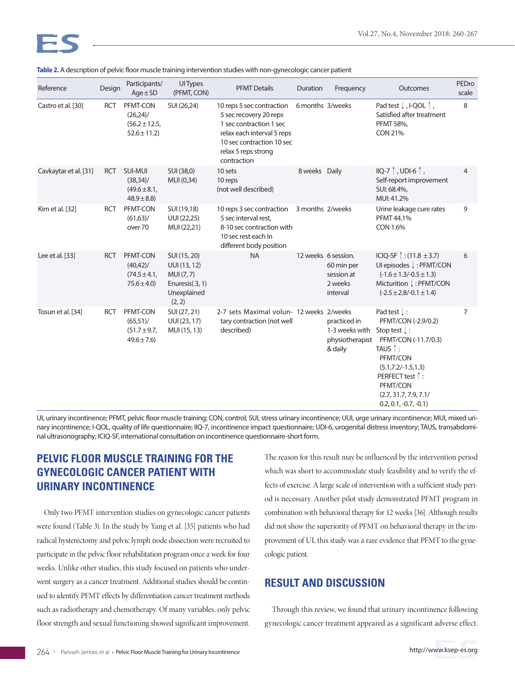| Reference             | Design     | Participants/<br>$Age \pm SD$                                   | <b>UI Types</b><br>(PFMT, CON)                                                       | <b>PFMT Details</b>                                                                                                                                                             | Duration         | Frequency                                                              | Outcomes                                                                                                                                                                                                                                        | PEDro<br>scale |
|-----------------------|------------|-----------------------------------------------------------------|--------------------------------------------------------------------------------------|---------------------------------------------------------------------------------------------------------------------------------------------------------------------------------|------------------|------------------------------------------------------------------------|-------------------------------------------------------------------------------------------------------------------------------------------------------------------------------------------------------------------------------------------------|----------------|
| Castro et al. [30]    | <b>RCT</b> | PFMT-CON<br>$(26,24)$ /<br>$(56.2 \pm 12.5,$<br>$52.6 \pm 11.2$ | SUI (26,24)                                                                          | 10 reps 5 sec contraction<br>5 sec recovery 20 reps<br>1 sec contraction 1 sec<br>relax each interval 5 reps<br>10 sec contraction 10 sec<br>relax 5 reps strong<br>contraction | 6 months 3/weeks |                                                                        | Pad test $\downarrow$ , I-QOL $\uparrow$ ,<br>Satisfied after treatment<br>PFMT 58%,<br><b>CON 21%</b>                                                                                                                                          | 8              |
| Cavkaytar et al. [31] | <b>RCT</b> | SUI-MUI<br>(38, 34)<br>$(49.6 \pm 8.1,$<br>$48.9 \pm 8.8$       | SUI (38,0)<br>MUI (0,34)                                                             | 10 sets<br>10 reps<br>(not well described)                                                                                                                                      | 8 weeks Daily    |                                                                        | $IIQ-7 \upharpoonright$ , UDI-6 $\upharpoonright$ ,<br>Self-report improvement<br>SUI: 68.4%,<br>MUI: 41.2%                                                                                                                                     | 4              |
| Kim et al. [32]       | <b>RCT</b> | PFMT-CON<br>$(61, 63)$ /<br>over 70                             | SUI (19,18)<br>UUI (22,25)<br>MUI (22,21)                                            | 10 reps 3 sec contraction<br>5 sec interval rest,<br>8-10 sec contraction with<br>10 sec rest each In<br>different body position                                                | 3 months 2/weeks |                                                                        | Urine leakage cure rates<br>PFMT 44.1%<br>CON 1.6%                                                                                                                                                                                              | 9              |
| Lee et al. [33]       | <b>RCT</b> | PFMT-CON<br>$(40, 42)$ /<br>$(74.5 \pm 4.1,$<br>$75.6 \pm 4.0$  | SUI (15, 20)<br>UUI (13, 12)<br>MUI (7,7)<br>Enuresis(3, 1)<br>Unexplained<br>(2, 2) | <b>NA</b>                                                                                                                                                                       |                  | 12 weeks 6 session.<br>60 min per<br>session at<br>2 weeks<br>interval | ICIQ-SF ↑ : (11.8 ± 3.7)<br>UI episodes ↓: PFMT/CON<br>$(-1.6 \pm 1.3/-0.5 \pm 1.3)$<br>Micturition ↓: PFMT/CON<br>$(-2.5 \pm 2.8/-0.1 \pm 1.4)$                                                                                                | 6              |
| Tosun et al. [34]     | <b>RCT</b> | PFMT-CON<br>$(65,51)$ /<br>$(51.7 \pm 9.7,$<br>$49.6 \pm 7.6$   | SUI (27, 21)<br>UUI (23, 17)<br>MUI (15, 13)                                         | 2-7 sets Maximal volun- 12 weeks 2/weeks<br>tary contraction (not well<br>described)                                                                                            |                  | practiced in<br>1-3 weeks with<br>physiotherapist<br>& daily           | Pad test $\downarrow$ :<br>PFMT/CON (-2.9/0.2)<br>Stop test $\downarrow$ :<br>PFMT/CON (-11.7/0.3)<br>TAUS $\uparrow$ :<br>PFMT/CON<br>$(5.1, 7.2/-1.5, 1.3)$<br>PERFECT test 1:<br>PFMT/CON<br>(2.7, 31.7, 7.9, 7.1/<br>$0.2, 0.1, -0.7, -0.1$ | $\overline{7}$ |

|  | Table 2. A description of pelvic floor muscle training intervention studies with non-gynecologic cancer patient |  |  |
|--|-----------------------------------------------------------------------------------------------------------------|--|--|
|  |                                                                                                                 |  |  |
|  |                                                                                                                 |  |  |

UI, urinary incontinence; PFMT, pelvic floor muscle training; CON, control; SUI, stress urinary incontinence; UUI, urge urinary incontinence; MUI, mixed urinary incontinence; I-QOL, quality of life questionnaire; IIQ-7, incontinence impact questionnaire; UDI-6, urogenital distress inventory; TAUS, transabdominal ultrasonography; ICIQ-SF, international consultation on incontinence questionnaire-short form.

# **PELVIC FLOOR MUSCLE TRAINING FOR THE GYNECOLOGIC CANCER PATIENT WITH URINARY INCONTINENCE**

Only two PFMT intervention studies on gynecologic cancer patients were found (Table 3). In the study by Yang et al. [35] patients who had radical hysterectomy and pelvic lymph node dissection were recruited to participate in the pelvic floor rehabilitation program once a week for four weeks. Unlike other studies, this study focused on patients who underwent surgery as a cancer treatment. Additional studies should be continued to identify PFMT effects by differentiation cancer treatment methods such as radiotherapy and chemotherapy. Of many variables, only pelvic floor strength and sexual functioning showed significant improvement.

The reason for this result may be influenced by the intervention period which was short to accommodate study feasibility and to verify the effects of exercise. A large scale of intervention with a sufficient study period is necessary. Another pilot study demonstrated PFMT program in combination with behavioral therapy for 12 weeks [36]. Although results did not show the superiority of PFMT on behavioral therapy in the improvement of UI, this study was a rare evidence that PFMT to the gynecologic patient.

# **RESULT AND DISCUSSION**

Through this review, we found that urinary incontinence following gynecologic cancer treatment appeared as a significant adverse effect.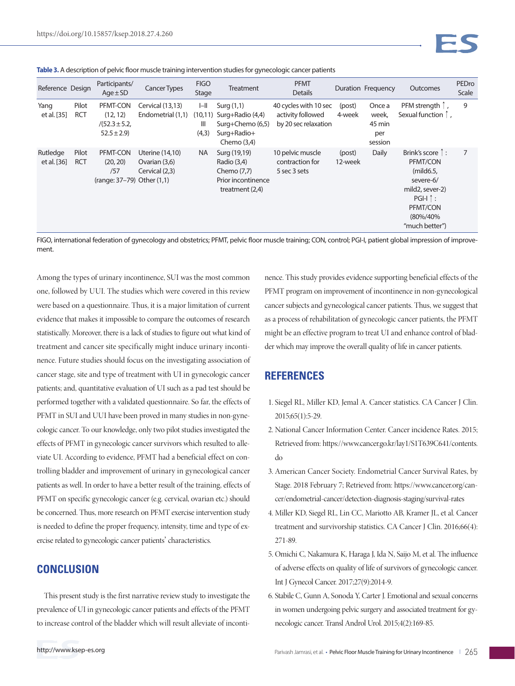**Table 3.** A description of pelvic floor muscle training intervention studies for gynecologic cancer patients

| Reference Design        |                     | Participants/<br>$Age \pm SD$                               | <b>Cancer Types</b>                                | <b>FIGO</b><br>Stage   | Treatment                                                                                        | <b>PFMT</b><br><b>Details</b>                                      |                   | Duration Frequency                          | Outcomes                                                                                                                                   | PEDro<br>Scale |
|-------------------------|---------------------|-------------------------------------------------------------|----------------------------------------------------|------------------------|--------------------------------------------------------------------------------------------------|--------------------------------------------------------------------|-------------------|---------------------------------------------|--------------------------------------------------------------------------------------------------------------------------------------------|----------------|
| Yang<br>et al. [35]     | Pilot<br><b>RCT</b> | PFMT-CON<br>(12, 12)<br>$/(52.3 \pm 5.2,$<br>$52.5 \pm 2.9$ | Cervical (13,13)<br>Endometrial (1,1)              | $I - II$<br>Ш<br>(4,3) | Surg $(1,1)$<br>$(10,11)$ Surg+Radio $(4,4)$<br>Surg+Chemo (6,5)<br>Surg+Radio+<br>Chemo $(3,4)$ | 40 cycles with 10 sec<br>activity followed<br>by 20 sec relaxation | (post)<br>4-week  | Once a<br>week,<br>45 min<br>per<br>session | PFM strength 1<br>Sexual function 1,                                                                                                       | 9              |
| Rutledge<br>et al. [36] | Pilot<br><b>RCT</b> | PFMT-CON<br>(20, 20)<br>/57<br>(range: 37–79) Other (1,1)   | Uterine (14,10)<br>Ovarian (3,6)<br>Cervical (2,3) | <b>NA</b>              | Surg (19,19)<br>Radio (3,4)<br>Chemo (7,7)<br>Prior incontinence<br>treatment $(2,4)$            | 10 pelvic muscle<br>contraction for<br>5 sec 3 sets                | (post)<br>12-week | Daily                                       | Brink's score $\uparrow$ :<br>PFMT/CON<br>(mild6.5)<br>severe-6/<br>mild2, sever-2)<br>$PGI-I$ :<br>PFMT/CON<br>(80%/40%<br>"much better") | 7              |

FIGO, international federation of gynecology and obstetrics; PFMT, pelvic floor muscle training; CON, control; PGI-I, patient global impression of improvement.

Among the types of urinary incontinence, SUI was the most common one, followed by UUI. The studies which were covered in this review were based on a questionnaire. Thus, it is a major limitation of current evidence that makes it impossible to compare the outcomes of research statistically. Moreover, there is a lack of studies to figure out what kind of treatment and cancer site specifically might induce urinary incontinence. Future studies should focus on the investigating association of cancer stage, site and type of treatment with UI in gynecologic cancer patients; and, quantitative evaluation of UI such as a pad test should be performed together with a validated questionnaire. So far, the effects of PFMT in SUI and UUI have been proved in many studies in non-gynecologic cancer. To our knowledge, only two pilot studies investigated the effects of PFMT in gynecologic cancer survivors which resulted to alleviate UI. According to evidence, PFMT had a beneficial effect on controlling bladder and improvement of urinary in gynecological cancer patients as well. In order to have a better result of the training, effects of PFMT on specific gynecologic cancer (e.g. cervical, ovarian etc.) should be concerned. Thus, more research on PFMT exercise intervention study is needed to define the proper frequency, intensity, time and type of exercise related to gynecologic cancer patients' characteristics.

## **CONCLUSION**

This present study is the first narrative review study to investigate the prevalence of UI in gynecologic cancer patients and effects of the PFMT to increase control of the bladder which will result alleviate of incontinence. This study provides evidence supporting beneficial effects of the PFMT program on improvement of incontinence in non-gynecological cancer subjects and gynecological cancer patients. Thus, we suggest that as a process of rehabilitation of gynecologic cancer patients, the PFMT might be an effective program to treat UI and enhance control of bladder which may improve the overall quality of life in cancer patients.

# **REFERENCES**

- 1. Siegel RL, Miller KD, Jemal A. Cancer statistics. CA Cancer J Clin. 2015;65(1):5-29.
- 2. National Cancer Information Center. Cancer incidence Rates. 2015; Retrieved from: https://www.cancer.go.kr/lay1/S1T639C641/contents. do
- 3. American Cancer Society. Endometrial Cancer Survival Rates, by Stage. 2018 February 7; Retrieved from: https://www.cancer.org/cancer/endometrial-cancer/detection-diagnosis-staging/survival-rates
- 4. Miller KD, Siegel RL, Lin CC, Mariotto AB, Kramer JL, et al. Cancer treatment and survivorship statistics. CA Cancer J Clin. 2016;66(4): 271-89.
- 5. Omichi C, Nakamura K, Haraga J, Ida N, Saijo M, et al. The influence of adverse effects on quality of life of survivors of gynecologic cancer. Int J Gynecol Cancer. 2017;27(9):2014-9.
- 6. Stabile C, Gunn A, Sonoda Y, Carter J. Emotional and sexual concerns in women undergoing pelvic surgery and associated treatment for gynecologic cancer. Transl Androl Urol. 2015;4(2):169-85.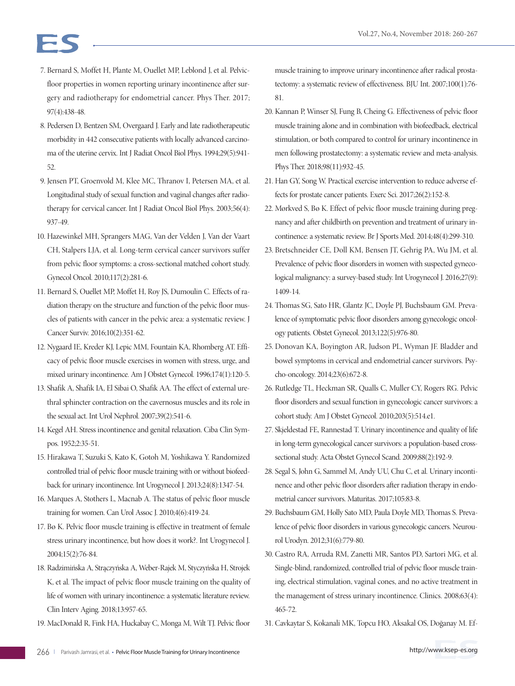- 7. Bernard S, Moffet H, Plante M, Ouellet MP, Leblond J, et al. Pelvicfloor properties in women reporting urinary incontinence after surgery and radiotherapy for endometrial cancer. Phys Ther. 2017; 97(4):438-48.
- 8. Pedersen D, Bentzen SM, Overgaard J. Early and late radiotherapeutic morbidity in 442 consecutive patients with locally advanced carcinoma of the uterine cervix. Int J Radiat Oncol Biol Phys. 1994;29(5):941- 52.
- 9. Jensen PT, Groenvold M, Klee MC, Thranov I, Petersen MA, et al. Longitudinal study of sexual function and vaginal changes after radiotherapy for cervical cancer. Int J Radiat Oncol Biol Phys. 2003;56(4): 937-49.
- 10. Hazewinkel MH, Sprangers MAG, Van der Velden J, Van der Vaart CH, Stalpers LJA, et al. Long-term cervical cancer survivors suffer from pelvic floor symptoms: a cross-sectional matched cohort study. Gynecol Oncol. 2010;117(2):281-6.
- 11. Bernard S, Ouellet MP, Moffet H, Roy JS, Dumoulin C. Effects of radiation therapy on the structure and function of the pelvic floor muscles of patients with cancer in the pelvic area: a systematic review. J Cancer Surviv. 2016;10(2):351-62.
- 12. Nygaard IE, Kreder KJ, Lepic MM, Fountain KA, Rhomberg AT. Efficacy of pelvic floor muscle exercises in women with stress, urge, and mixed urinary incontinence. Am J Obstet Gynecol. 1996;174(1):120-5.
- 13. Shafik A, Shafik IA, El Sibai O, Shafik AA. The effect of external urethral sphincter contraction on the cavernosus muscles and its role in the sexual act. Int Urol Nephrol. 2007;39(2):541-6.
- 14. Kegel AH. Stress incontinence and genital relaxation. Ciba Clin Sympos. 1952;2:35-51.
- 15. Hirakawa T, Suzuki S, Kato K, Gotoh M, Yoshikawa Y. Randomized controlled trial of pelvic floor muscle training with or without biofeedback for urinary incontinence. Int Urogynecol J. 2013;24(8):1347-54.
- 16. Marques A, Stothers L, Macnab A. The status of pelvic floor muscle training for women. Can Urol Assoc J. 2010;4(6):419-24.
- 17. Bø K. Pelvic floor muscle training is effective in treatment of female stress urinary incontinence, but how does it work?. Int Urogynecol J. 2004;15(2):76-84.
- 18. Radzimińska A, Strączyńska A, Weber-Rajek M, Styczyńska H, Strojek K, et al. The impact of pelvic floor muscle training on the quality of life of women with urinary incontinence: a systematic literature review. Clin Interv Aging. 2018;13:957-65.
- 19. MacDonald R, Fink HA, Huckabay C, Monga M, Wilt TJ. Pelvic floor

muscle training to improve urinary incontinence after radical prostatectomy: a systematic review of effectiveness. BJU Int. 2007;100(1):76- 81.

- 20. Kannan P, Winser SJ, Fung B, Cheing G. Effectiveness of pelvic floor muscle training alone and in combination with biofeedback, electrical stimulation, or both compared to control for urinary incontinence in men following prostatectomy: a systematic review and meta-analysis. Phys Ther. 2018;98(11):932-45.
- 21. Han GY, Song W. Practical exercise intervention to reduce adverse effects for prostate cancer patients. Exerc Sci. 2017;26(2):152-8.
- 22. Mørkved S, Bø K. Effect of pelvic floor muscle training during pregnancy and after childbirth on prevention and treatment of urinary incontinence: a systematic review. Br J Sports Med. 2014;48(4):299-310.
- 23. Bretschneider CE, Doll KM, Bensen JT, Gehrig PA, Wu JM, et al. Prevalence of pelvic floor disorders in women with suspected gynecological malignancy: a survey-based study. Int Urogynecol J. 2016;27(9): 1409-14.
- 24. Thomas SG, Sato HR, Glantz JC, Doyle PJ, Buchsbaum GM. Prevalence of symptomatic pelvic floor disorders among gynecologic oncology patients. Obstet Gynecol. 2013;122(5):976-80.
- 25. Donovan KA, Boyington AR, Judson PL, Wyman JF. Bladder and bowel symptoms in cervical and endometrial cancer survivors. Psycho-oncology. 2014;23(6):672-8.
- 26. Rutledge TL, Heckman SR, Qualls C, Muller CY, Rogers RG. Pelvic floor disorders and sexual function in gynecologic cancer survivors: a cohort study. Am J Obstet Gynecol. 2010;203(5):514.e1.
- 27. Skjeldestad FE, Rannestad T. Urinary incontinence and quality of life in long-term gynecological cancer survivors: a population-based crosssectional study. Acta Obstet Gynecol Scand. 2009;88(2):192-9.
- 28. Segal S, John G, Sammel M, Andy UU, Chu C, et al. Urinary incontinence and other pelvic floor disorders after radiation therapy in endometrial cancer survivors. Maturitas. 2017;105:83-8.
- 29. Buchsbaum GM, Holly Sato MD, Paula Doyle MD, Thomas S. Prevalence of pelvic floor disorders in various gynecologic cancers. Neurourol Urodyn. 2012;31(6):779-80.
- 30. Castro RA, Arruda RM, Zanetti MR, Santos PD, Sartori MG, et al. Single-blind, randomized, controlled trial of pelvic floor muscle training, electrical stimulation, vaginal cones, and no active treatment in the management of stress urinary incontinence. Clinics. 2008;63(4): 465-72.
- 31. Cavkaytar S, Kokanali MK, Topcu HO, Aksakal OS, Doğanay M. Ef-